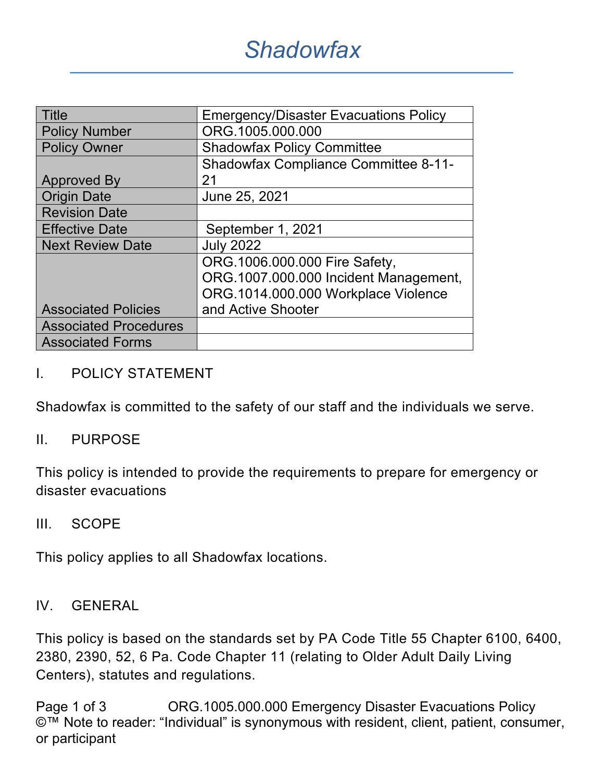| <b>Title</b>                 | <b>Emergency/Disaster Evacuations Policy</b> |  |  |
|------------------------------|----------------------------------------------|--|--|
| <b>Policy Number</b>         | ORG.1005.000.000                             |  |  |
| <b>Policy Owner</b>          | <b>Shadowfax Policy Committee</b>            |  |  |
|                              | <b>Shadowfax Compliance Committee 8-11-</b>  |  |  |
| <b>Approved By</b>           | 21                                           |  |  |
| <b>Origin Date</b>           | June 25, 2021                                |  |  |
| <b>Revision Date</b>         |                                              |  |  |
| <b>Effective Date</b>        | September 1, 2021                            |  |  |
| <b>Next Review Date</b>      | <b>July 2022</b>                             |  |  |
|                              | ORG.1006.000.000 Fire Safety,                |  |  |
|                              | ORG.1007.000.000 Incident Management,        |  |  |
|                              | ORG.1014.000.000 Workplace Violence          |  |  |
| <b>Associated Policies</b>   | and Active Shooter                           |  |  |
| <b>Associated Procedures</b> |                                              |  |  |
| <b>Associated Forms</b>      |                                              |  |  |

### I. POLICY STATEMENT

Shadowfax is committed to the safety of our staff and the individuals we serve.

#### II. PURPOSE

This policy is intended to provide the requirements to prepare for emergency or disaster evacuations

#### III. SCOPE

This policy applies to all Shadowfax locations.

#### IV. GENERAL

This policy is based on the standards set by PA Code Title 55 Chapter 6100, 6400, 2380, 2390, 52, 6 Pa. Code Chapter 11 (relating to Older Adult Daily Living Centers), statutes and regulations.

Page 1 of 3 CRG.1005.000.000 Emergency Disaster Evacuations Policy ©™ Note to reader: "Individual" is synonymous with resident, client, patient, consumer, or participant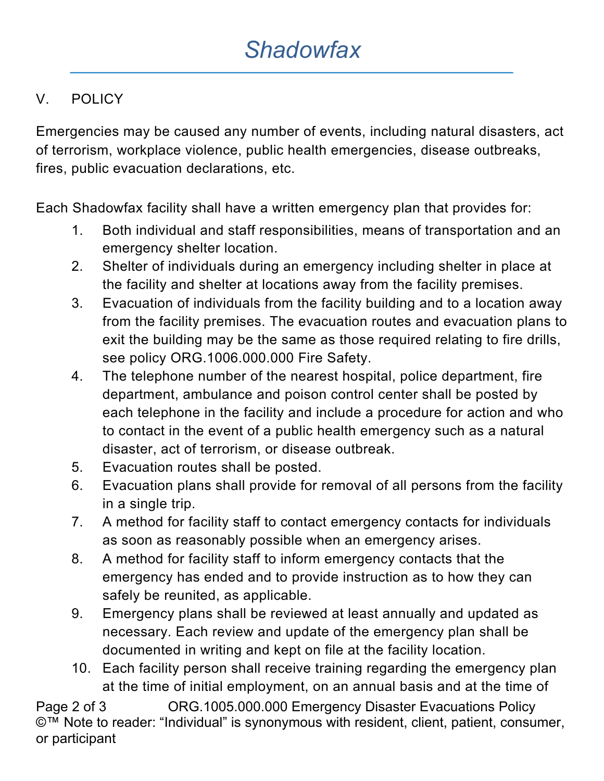# V. POLICY

Emergencies may be caused any number of events, including natural disasters, act of terrorism, workplace violence, public health emergencies, disease outbreaks, fires, public evacuation declarations, etc.

Each Shadowfax facility shall have a written emergency plan that provides for:

- 1. Both individual and staff responsibilities, means of transportation and an emergency shelter location.
- 2. Shelter of individuals during an emergency including shelter in place at the facility and shelter at locations away from the facility premises.
- 3. Evacuation of individuals from the facility building and to a location away from the facility premises. The evacuation routes and evacuation plans to exit the building may be the same as those required relating to fire drills, see policy ORG.1006.000.000 Fire Safety.
- 4. The telephone number of the nearest hospital, police department, fire department, ambulance and poison control center shall be posted by each telephone in the facility and include a procedure for action and who to contact in the event of a public health emergency such as a natural disaster, act of terrorism, or disease outbreak.
- 5. Evacuation routes shall be posted.
- 6. Evacuation plans shall provide for removal of all persons from the facility in a single trip.
- 7. A method for facility staff to contact emergency contacts for individuals as soon as reasonably possible when an emergency arises.
- 8. A method for facility staff to inform emergency contacts that the emergency has ended and to provide instruction as to how they can safely be reunited, as applicable.
- 9. Emergency plans shall be reviewed at least annually and updated as necessary. Each review and update of the emergency plan shall be documented in writing and kept on file at the facility location.
- 10. Each facility person shall receive training regarding the emergency plan at the time of initial employment, on an annual basis and at the time of

Page 2 of 3 CRG.1005.000.000 Emergency Disaster Evacuations Policy ©<sup>™</sup> Note to reader: "Individual" is synonymous with resident, client, patient, consumer, or participant